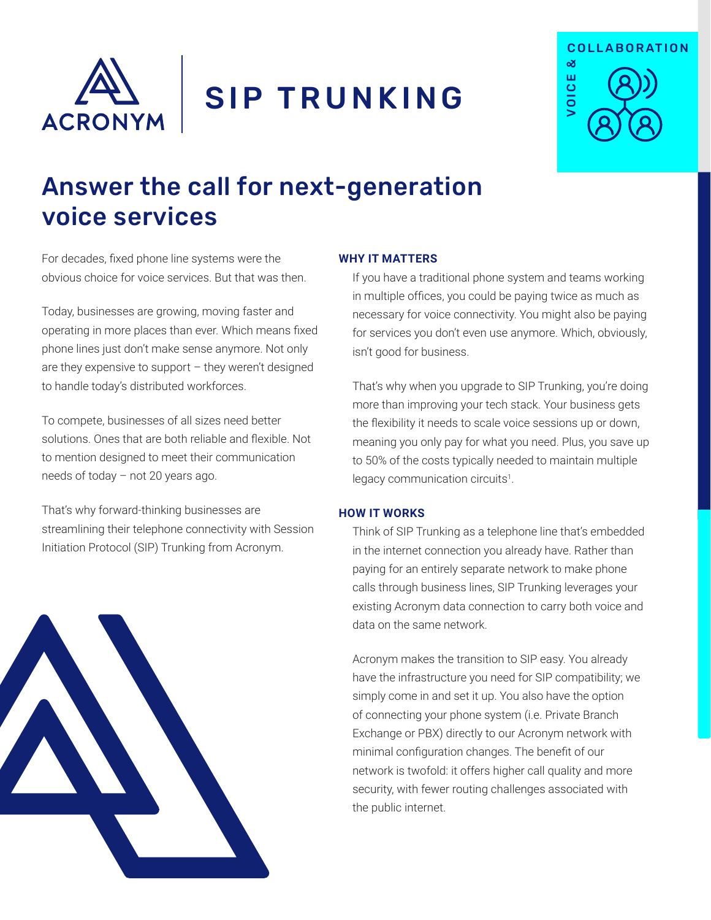

SIP TRUNKING



# Answer the call for next-generation voice services

For decades, fixed phone line systems were the obvious choice for voice services. But that was then.

Today, businesses are growing, moving faster and operating in more places than ever. Which means fixed phone lines just don't make sense anymore. Not only are they expensive to support – they weren't designed to handle today's distributed workforces.

To compete, businesses of all sizes need better solutions. Ones that are both reliable and flexible. Not to mention designed to meet their communication needs of today – not 20 years ago.

That's why forward-thinking businesses are streamlining their telephone connectivity with Session Initiation Protocol (SIP) Trunking from Acronym.



## **WHY IT MATTERS**

If you have a traditional phone system and teams working in multiple offices, you could be paying twice as much as necessary for voice connectivity. You might also be paying for services you don't even use anymore. Which, obviously, isn't good for business.

That's why when you upgrade to SIP Trunking, you're doing more than improving your tech stack. Your business gets the flexibility it needs to scale voice sessions up or down, meaning you only pay for what you need. Plus, you save up to 50% of the costs typically needed to maintain multiple legacy communication circuits<sup>1</sup>.

## **HOW IT WORKS**

Think of SIP Trunking as a telephone line that's embedded in the internet connection you already have. Rather than paying for an entirely separate network to make phone calls through business lines, SIP Trunking leverages your existing Acronym data connection to carry both voice and data on the same network.

Acronym makes the transition to SIP easy. You already have the infrastructure you need for SIP compatibility; we simply come in and set it up. You also have the option of connecting your phone system (i.e. Private Branch Exchange or PBX) directly to our Acronym network with minimal configuration changes. The benefit of our network is twofold: it offers higher call quality and more security, with fewer routing challenges associated with the public internet.